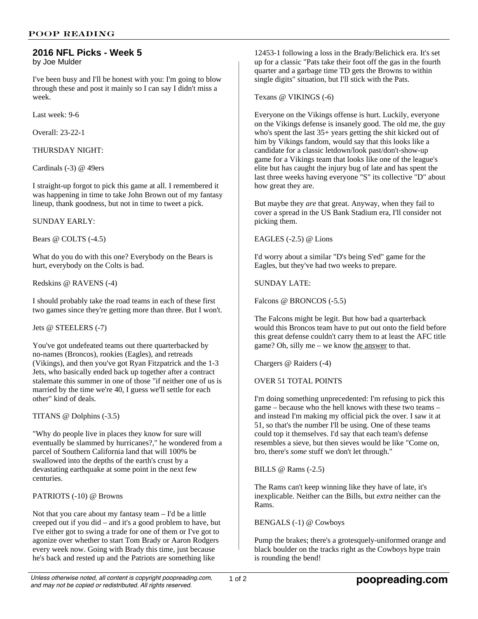# **2016 NFL Picks - Week 5**

by Joe Mulder

I've been busy and I'll be honest with you: I'm going to blow through these and post it mainly so I can say I didn't miss a week.

Last week: 9-6

Overall: 23-22-1

THURSDAY NIGHT:

Cardinals (-3) @ 49ers

I straight-up forgot to pick this game at all. I remembered it was happening in time to take John Brown out of my fantasy lineup, thank goodness, but not in time to tweet a pick.

### SUNDAY EARLY:

Bears @ COLTS (-4.5)

What do you do with this one? Everybody on the Bears is hurt, everybody on the Colts is bad.

Redskins @ RAVENS (-4)

I should probably take the road teams in each of these first two games since they're getting more than three. But I won't.

Jets @ STEELERS (-7)

You've got undefeated teams out there quarterbacked by no-names (Broncos), rookies (Eagles), and retreads (Vikings), and then you've got Ryan Fitzpatrick and the 1-3 Jets, who basically ended back up together after a contract stalemate this summer in one of those "if neither one of us is married by the time we're 40, I guess we'll settle for each other" kind of deals.

TITANS @ Dolphins (-3.5)

"Why do people live in places they know for sure will eventually be slammed by hurricanes?," he wondered from a parcel of Southern California land that will 100% be swallowed into the depths of the earth's crust by a devastating earthquake at some point in the next few centuries.

### PATRIOTS (-10) @ Browns

Not that you care about my fantasy team – I'd be a little creeped out if you did – and it's a good problem to have, but I've either got to swing a trade for one of them or I've got to agonize over whether to start Tom Brady or Aaron Rodgers every week now. Going with Brady this time, just because he's back and rested up and the Patriots are something like

12453-1 following a loss in the Brady/Belichick era. It's set up for a classic "Pats take their foot off the gas in the fourth quarter and a garbage time TD gets the Browns to within single digits" situation, but I'll stick with the Pats.

Texans @ VIKINGS (-6)

Everyone on the Vikings offense is hurt. Luckily, everyone on the Vikings defense is insanely good. The old me, the guy who's spent the last 35+ years getting the shit kicked out of him by Vikings fandom, would say that this looks like a candidate for a classic letdown/look past/don't-show-up game for a Vikings team that looks like one of the league's elite but has caught the injury bug of late and has spent the last three weeks having everyone "S" its collective "D" about how great they are.

But maybe they *are* that great. Anyway, when they fail to cover a spread in the US Bank Stadium era, I'll consider not picking them.

EAGLES  $(-2.5)$  @ Lions

I'd worry about a similar "D's being S'ed" game for the Eagles, but they've had two weeks to prepare.

SUNDAY LATE:

Falcons @ BRONCOS (-5.5)

The Falcons might be legit. But how bad a quarterback would this Broncos team have to put out onto the field before this great defense couldn't carry them to at least the AFC title game? Oh, silly me – we know the answer to that.

Chargers @ Raiders (-4)

### OVER 51 TOTAL POINTS

I'm doing something unprecedented: I'm refusing to pick this game – because who the hell knows with these two teams – and instead I'm making my official pick the over. I saw it at 51, so that's the number I'll be using. One of these teams could top it themselves. I'd say that each team's defense resembles a sieve, but then sieves would be like "Come on, bro, there's *some* stuff we don't let through."

BILLS @ Rams (-2.5)

The Rams can't keep winning like they have of late, it's inexplicable. Neither can the Bills, but *extra* neither can the Rams.

BENGALS (-1) @ Cowboys

Pump the brakes; there's a grotesquely-uniformed orange and black boulder on the tracks right as the Cowboys hype train is rounding the bend!